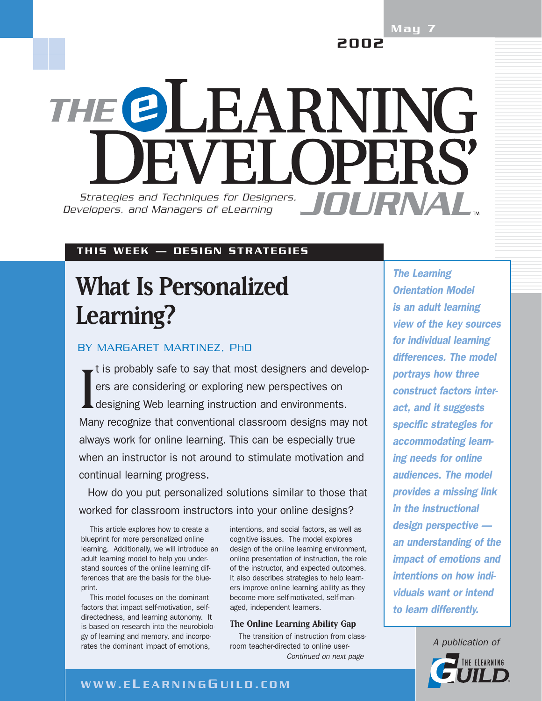May 7 2002

THE @LEARNING WEI OPERS Strategies and Techniques for Designers, **ANDIPANAI** *Developers, and Managers of eLearning*

### THIS WEEK — DESIGN STRATEGIES

# **What Is Personalized Learning?**

## BY MARGARET MARTINEZ, PhD

I t is probably safe to say that most designers and developers are considering or exploring new perspectives on designing Web learning instruction and environments. Many recognize that conventional classroom designs may not always work for online learning. This can be especially true when an instructor is not around to stimulate motivation and continual learning progress.

How do you put personalized solutions similar to those that worked for classroom instructors into your online designs?

This article explores how to create a blueprint for more personalized online learning. Additionally, we will introduce an adult learning model to help you understand sources of the online learning differences that are the basis for the blueprint.

This model focuses on the dominant factors that impact self-motivation, selfdirectedness, and learning autonomy. It is based on research into the neurobiology of learning and memory, and incorporates the dominant impact of emotions,

intentions, and social factors, as well as cognitive issues. The model explores design of the online learning environment, online presentation of instruction, the role of the instructor, and expected outcomes. It also describes strategies to help learners improve online learning ability as they become more self-motivated, self-managed, independent learners.

### **The Online Learning Ability Gap**

The transition of instruction from classroom teacher-directed to online user-*Continued on next page*

*The Learning Orientation Model is an adult learning view of the key sources for individual learning differences. The model portrays how three construct factors interact, and it suggests specific strategies for accommodating learning needs for online audiences. The model provides a missing link in the instructional design perspective an understanding of the impact of emotions and intentions on how individuals want or intend to learn differently.*



### WWW.E L EARNING G UILD.COM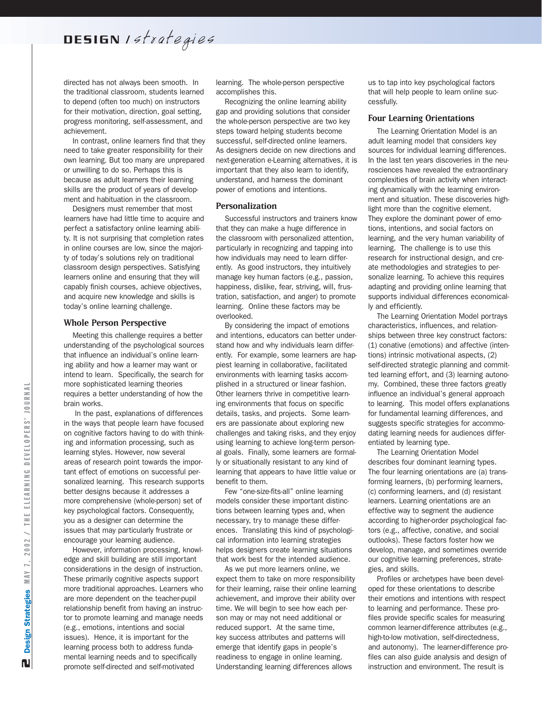directed has not always been smooth. In the traditional classroom, students learned to depend (often too much) on instructors for their motivation, direction, goal setting, progress monitoring, self-assessment, and achievement.

In contrast, online learners find that they need to take greater responsibility for their own learning. But too many are unprepared or unwilling to do so. Perhaps this is because as adult learners their learning skills are the product of years of development and habituation in the classroom.

Designers must remember that most learners have had little time to acquire and perfect a satisfactory online learning ability. It is not surprising that completion rates in online courses are low, since the majority of today's solutions rely on traditional classroom design perspectives. Satisfying learners online and ensuring that they will capably finish courses, achieve objectives, and acquire new knowledge and skills is today's online learning challenge.

### **Whole Person Perspective**

Meeting this challenge requires a better understanding of the psychological sources that influence an individual's online learning ability and how a learner may want or intend to learn. Specifically, the search for more sophisticated learning theories requires a better understanding of how the brain works.

In the past, explanations of differences in the ways that people learn have focused on cognitive factors having to do with thinking and information processing, such as learning styles. However, now several areas of research point towards the important effect of emotions on successful personalized learning. This research supports better designs because it addresses a more comprehensive (whole-person) set of key psychological factors. Consequently, you as a designer can determine the issues that may particularly frustrate or encourage your learning audience.

However, information processing, knowledge and skill building are still important considerations in the design of instruction. These primarily cognitive aspects support more traditional approaches. Learners who are more dependent on the teacher-pupil relationship benefit from having an instructor to promote learning and manage needs (e.g., emotions, intentions and social issues). Hence, it is important for the learning process both to address fundamental learning needs and to specifically promote self-directed and self-motivated

learning. The whole-person perspective accomplishes this.

Recognizing the online learning ability gap and providing solutions that consider the whole-person perspective are two key steps toward helping students become successful, self-directed online learners. As designers decide on new directions and next-generation e-Learning alternatives, it is important that they also learn to identify, understand, and harness the dominant power of emotions and intentions.

### **Personalization**

Successful instructors and trainers know that they can make a huge difference in the classroom with personalized attention, particularly in recognizing and tapping into how individuals may need to learn differently. As good instructors, they intuitively manage key human factors (e.g., passion, happiness, dislike, fear, striving, will, frustration, satisfaction, and anger) to promote learning. Online these factors may be overlooked.

By considering the impact of emotions and intentions, educators can better understand how and why individuals learn differently. For example, some learners are happiest learning in collaborative, facilitated environments with learning tasks accomplished in a structured or linear fashion. Other learners thrive in competitive learning environments that focus on specific details, tasks, and projects. Some learners are passionate about exploring new challenges and taking risks, and they enjoy using learning to achieve long-term personal goals. Finally, some learners are formally or situationally resistant to any kind of learning that appears to have little value or benefit to them.

Few "one-size-fits-all" online learning models consider these important distinctions between learning types and, when necessary, try to manage these differences. Translating this kind of psychological information into learning strategies helps designers create learning situations that work best for the intended audience.

As we put more learners online, we expect them to take on more responsibility for their learning, raise their online learning achievement, and improve their ability over time. We will begin to see how each person may or may not need additional or reduced support. At the same time, key success attributes and patterns will emerge that identify gaps in people's readiness to engage in online learning. Understanding learning differences allows

us to tap into key psychological factors that will help people to learn online successfully.

### **Four Learning Orientations**

The Learning Orientation Model is an adult learning model that considers key sources for individual learning differences. In the last ten years discoveries in the neurosciences have revealed the extraordinary complexities of brain activity when interacting dynamically with the learning environment and situation. These discoveries highlight more than the cognitive element. They explore the dominant power of emotions, intentions, and social factors on learning, and the very human variability of learning. The challenge is to use this research for instructional design, and create methodologies and strategies to personalize learning. To achieve this requires adapting and providing online learning that supports individual differences economically and efficiently.

The Learning Orientation Model portrays characteristics, influences, and relationships between three key construct factors: (1) conative (emotions) and affective (intentions) intrinsic motivational aspects, (2) self-directed strategic planning and committed learning effort, and (3) learning autonomy. Combined, these three factors greatly influence an individual's general approach to learning. This model offers explanations for fundamental learning differences, and suggests specific strategies for accommodating learning needs for audiences differentiated by learning type.

The Learning Orientation Model describes four dominant learning types. The four learning orientations are (a) transforming learners, (b) performing learners, (c) conforming learners, and (d) resistant learners. Learning orientations are an effective way to segment the audience according to higher-order psychological factors (e.g., affective, conative, and social outlooks). These factors foster how we develop, manage, and sometimes override our cognitive learning preferences, strategies, and skills.

Profiles or archetypes have been developed for these orientations to describe their emotions and intentions with respect to learning and performance. These profiles provide specific scales for measuring common learner-difference attributes (e.g., high-to-low motivation, self-directedness, and autonomy). The learner-difference profiles can also guide analysis and design of instruction and environment. The result is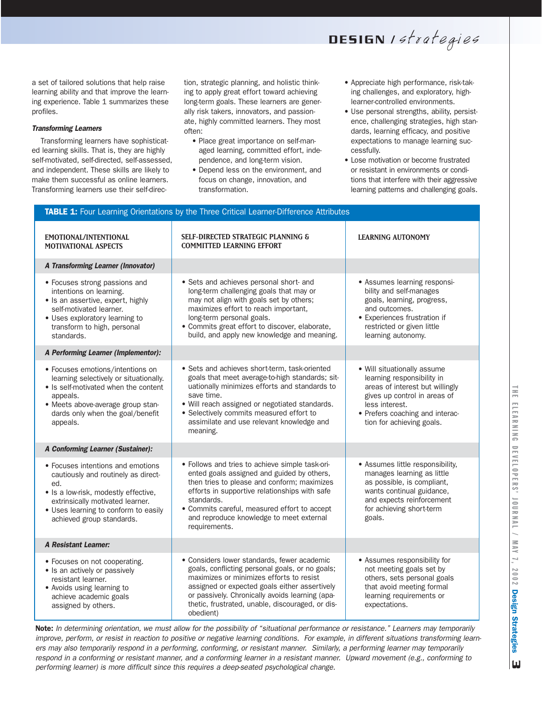DESIGN / strategies

a set of tailored solutions that help raise learning ability and that improve the learning experience. Table 1 summarizes these profiles.

### *Transforming Learners*

Transforming learners have sophisticated learning skills. That is, they are highly self-motivated, self-directed, self-assessed, and independent. These skills are likely to make them successful as online learners. Transforming learners use their self-direction, strategic planning, and holistic thinking to apply great effort toward achieving long-term goals. These learners are generally risk takers, innovators, and passionate, highly committed learners. They most often:

- Place great importance on self-managed learning, committed effort, independence, and long-term vision.
- Depend less on the environment, and focus on change, innovation, and transformation.

TABLE 1: Four Learning Orientations by the Three Critical Learner-Difference Attributes

- Appreciate high performance, risk-taking challenges, and exploratory, highlearner-controlled environments.
- Use personal strengths, ability, persistence, challenging strategies, high standards, learning efficacy, and positive expectations to manage learning successfully.
- Lose motivation or become frustrated or resistant in environments or conditions that interfere with their aggressive learning patterns and challenging goals.

| EMOTIONAL/INTENTIONAL<br>MOTIVATIONAL ASPECTS                                                                                                                                                                                    | <b>SELF-DIRECTED STRATEGIC PLANNING &amp;</b><br><b>COMMITTED LEARNING EFFORT</b>                                                                                                                                                                                                                                        | <b>LEARNING AUTONOMY</b>                                                                                                                                                                                       |
|----------------------------------------------------------------------------------------------------------------------------------------------------------------------------------------------------------------------------------|--------------------------------------------------------------------------------------------------------------------------------------------------------------------------------------------------------------------------------------------------------------------------------------------------------------------------|----------------------------------------------------------------------------------------------------------------------------------------------------------------------------------------------------------------|
| <b>A Transforming Learner (Innovator)</b>                                                                                                                                                                                        |                                                                                                                                                                                                                                                                                                                          |                                                                                                                                                                                                                |
| • Focuses strong passions and<br>intentions on learning.<br>· Is an assertive, expert, highly<br>self-motivated learner.<br>• Uses exploratory learning to<br>transform to high, personal<br>standards.                          | • Sets and achieves personal short- and<br>long-term challenging goals that may or<br>may not align with goals set by others;<br>maximizes effort to reach important,<br>long-term personal goals.<br>• Commits great effort to discover, elaborate,<br>build, and apply new knowledge and meaning.                      | • Assumes learning responsi-<br>bility and self-manages<br>goals, learning, progress,<br>and outcomes.<br>• Experiences frustration if<br>restricted or given little<br>learning autonomy.                     |
| A Performing Learner (Implementor):                                                                                                                                                                                              |                                                                                                                                                                                                                                                                                                                          |                                                                                                                                                                                                                |
| • Focuses emotions/intentions on<br>learning selectively or situationally.<br>• Is self-motivated when the content<br>appeals.<br>· Meets above-average group stan-<br>dards only when the goal/benefit<br>appeals.              | · Sets and achieves short-term, task-oriented<br>goals that meet average-to-high standards; sit-<br>uationally minimizes efforts and standards to<br>save time.<br>· Will reach assigned or negotiated standards.<br>• Selectively commits measured effort to<br>assimilate and use relevant knowledge and<br>meaning.   | · Will situationally assume<br>learning responsibility in<br>areas of interest but willingly<br>gives up control in areas of<br>less interest.<br>• Prefers coaching and interac-<br>tion for achieving goals. |
| <b>A Conforming Learner (Sustainer):</b>                                                                                                                                                                                         |                                                                                                                                                                                                                                                                                                                          |                                                                                                                                                                                                                |
| • Focuses intentions and emotions<br>cautiously and routinely as direct-<br>ed.<br>· Is a low-risk, modestly effective,<br>extrinsically motivated learner.<br>• Uses learning to conform to easily<br>achieved group standards. | · Follows and tries to achieve simple task-ori-<br>ented goals assigned and guided by others,<br>then tries to please and conform; maximizes<br>efforts in supportive relationships with safe<br>standards.<br>• Commits careful, measured effort to accept<br>and reproduce knowledge to meet external<br>requirements. | • Assumes little responsibility,<br>manages learning as little<br>as possible, is compliant,<br>wants continual guidance,<br>and expects reinforcement<br>for achieving short-term<br>goals.                   |
| <b>A Resistant Learner:</b>                                                                                                                                                                                                      |                                                                                                                                                                                                                                                                                                                          |                                                                                                                                                                                                                |
| • Focuses on not cooperating.<br>• Is an actively or passively<br>resistant learner.<br>• Avoids using learning to<br>achieve academic goals<br>assigned by others.                                                              | · Considers lower standards, fewer academic<br>goals, conflicting personal goals, or no goals;<br>maximizes or minimizes efforts to resist<br>assigned or expected goals either assertively<br>or passively. Chronically avoids learning (apa-<br>thetic, frustrated, unable, discouraged, or dis-<br>obedient)          | • Assumes responsibility for<br>not meeting goals set by<br>others, sets personal goals<br>that avoid meeting formal<br>learning requirements or<br>expectations.                                              |

Note: *In determining orientation, we must allow for the possibility of "situational performance or resistance." Learners may temporarily improve, perform, or resist in reaction to positive or negative learning conditions. For example, in different situations transforming learners may also temporarily respond in a performing, conforming, or resistant manner. Similarly, a performing learner may temporarily respond in a conforming or resistant manner, and a conforming learner in a resistant manner. Upward movement (e.g., conforming to performing learner) is more difficult since this requires a deep-seated psychological change.*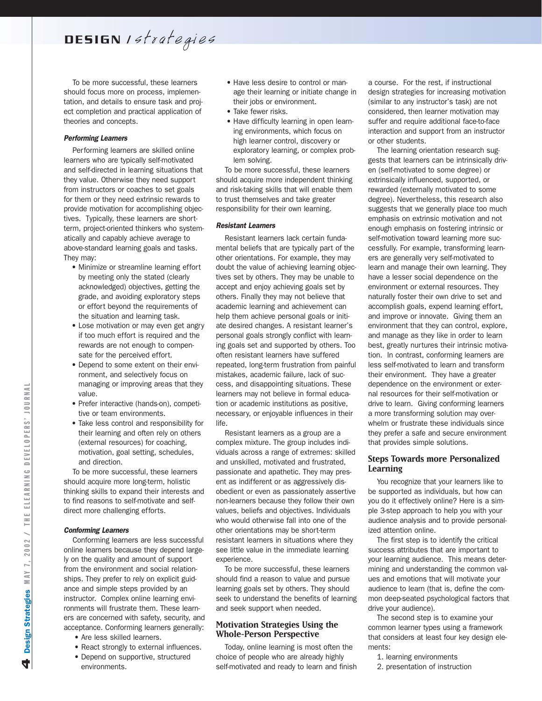DESIGN 1strategies

To be more successful, these learners should focus more on process, implementation, and details to ensure task and project completion and practical application of theories and concepts.

### *Performing Learners*

Performing learners are skilled online learners who are typically self-motivated and self-directed in learning situations that they value. Otherwise they need support from instructors or coaches to set goals for them or they need extrinsic rewards to provide motivation for accomplishing objectives. Typically, these learners are shortterm, project-oriented thinkers who systematically and capably achieve average to above-standard learning goals and tasks. They may:

- Minimize or streamline learning effort by meeting only the stated (clearly acknowledged) objectives, getting the grade, and avoiding exploratory steps or effort beyond the requirements of the situation and learning task.
- Lose motivation or may even get angry if too much effort is required and the rewards are not enough to compensate for the perceived effort.
- Depend to some extent on their environment, and selectively focus on managing or improving areas that they value.
- Prefer interactive (hands-on), competitive or team environments.
- Take less control and responsibility for their learning and often rely on others (external resources) for coaching, motivation, goal setting, schedules, and direction.

To be more successful, these learners should acquire more long-term, holistic thinking skills to expand their interests and to find reasons to self-motivate and selfdirect more challenging efforts.

### *Conforming Learners*

Conforming learners are less successful online learners because they depend largely on the quality and amount of support from the environment and social relationships. They prefer to rely on explicit guidance and simple steps provided by an instructor. Complex online learning environments will frustrate them. These learners are concerned with safety, security, and acceptance. Conforming learners generally:

- Are less skilled learners.
- React strongly to external influences.
- Depend on supportive, structured environments.
- Have less desire to control or manage their learning or initiate change in their jobs or environment.
- Take fewer risks.
- Have difficulty learning in open learning environments, which focus on high learner control, discovery or exploratory learning, or complex problem solving.

To be more successful, these learners should acquire more independent thinking and risk-taking skills that will enable them to trust themselves and take greater responsibility for their own learning.

#### *Resistant Learners*

Resistant learners lack certain fundamental beliefs that are typically part of the other orientations. For example, they may doubt the value of achieving learning objectives set by others. They may be unable to accept and enjoy achieving goals set by others. Finally they may not believe that academic learning and achievement can help them achieve personal goals or initiate desired changes. A resistant learner's personal goals strongly conflict with learning goals set and supported by others. Too often resistant learners have suffered repeated, long-term frustration from painful mistakes, academic failure, lack of success, and disappointing situations. These learners may not believe in formal education or academic institutions as positive, necessary, or enjoyable influences in their life.

Resistant learners as a group are a complex mixture. The group includes individuals across a range of extremes: skilled and unskilled, motivated and frustrated, passionate and apathetic. They may present as indifferent or as aggressively disobedient or even as passionately assertive non-learners because they follow their own values, beliefs and objectives. Individuals who would otherwise fall into one of the other orientations may be short-term resistant learners in situations where they see little value in the immediate learning experience.

To be more successful, these learners should find a reason to value and pursue learning goals set by others. They should seek to understand the benefits of learning and seek support when needed.

### **Motivation Strategies Using the Whole-Person Perspective**

Today, online learning is most often the choice of people who are already highly self-motivated and ready to learn and finish

a course. For the rest, if instructional design strategies for increasing motivation (similar to any instructor's task) are not considered, then learner motivation may suffer and require additional face-to-face interaction and support from an instructor or other students.

The learning orientation research suggests that learners can be intrinsically driven (self-motivated to some degree) or extrinsically influenced, supported, or rewarded (externally motivated to some degree). Nevertheless, this research also suggests that we generally place too much emphasis on extrinsic motivation and not enough emphasis on fostering intrinsic or self-motivation toward learning more successfully. For example, transforming learners are generally very self-motivated to learn and manage their own learning. They have a lesser social dependence on the environment or external resources. They naturally foster their own drive to set and accomplish goals, expend learning effort, and improve or innovate. Giving them an environment that they can control, explore, and manage as they like in order to learn best, greatly nurtures their intrinsic motivation. In contrast, conforming learners are less self-motivated to learn and transform their environment. They have a greater dependence on the environment or external resources for their self-motivation or drive to learn. Giving conforming learners a more transforming solution may overwhelm or frustrate these individuals since they prefer a safe and secure environment that provides simple solutions.

### **Steps Towards more Personalized Learning**

You recognize that your learners like to be supported as individuals, but how can you do it effectively online? Here is a simple 3-step approach to help you with your audience analysis and to provide personalized attention online.

The first step is to identify the critical success attributes that are important to your learning audience. This means determining and understanding the common values and emotions that will motivate your audience to learn (that is, define the common deep-seated psychological factors that drive your audience).

The second step is to examine your common learner types using a framework that considers at least four key design elements:

- 1. learning environments
- 2. presentation of instruction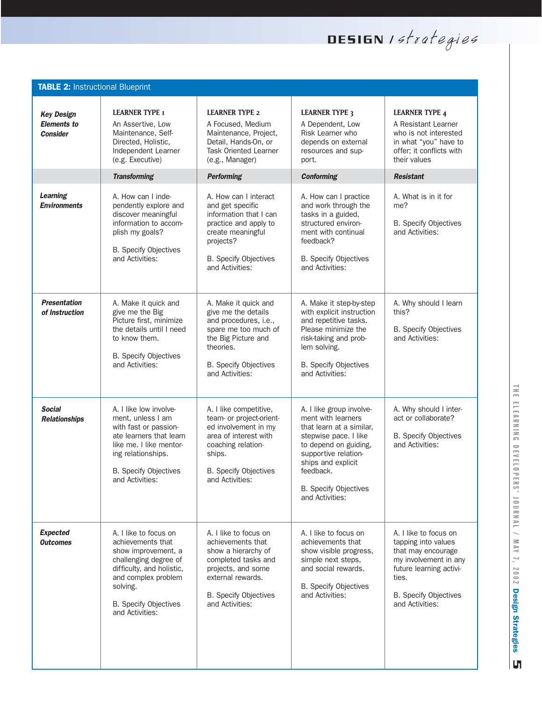DESIGN 1strategies

| <b>TABLE 2: Instructional Blueprint</b>                    |                                                                                                                                                                                                               |                                                                                                                                                                                        |                                                                                                                                                                                                                                            |                                                                                                                                                                                    |
|------------------------------------------------------------|---------------------------------------------------------------------------------------------------------------------------------------------------------------------------------------------------------------|----------------------------------------------------------------------------------------------------------------------------------------------------------------------------------------|--------------------------------------------------------------------------------------------------------------------------------------------------------------------------------------------------------------------------------------------|------------------------------------------------------------------------------------------------------------------------------------------------------------------------------------|
| <b>Key Design</b><br><b>Elements to</b><br><b>Consider</b> | <b>LEARNER TYPE I</b><br>An Assertive, Low<br>Maintenance, Self-<br>Directed, Holistic,<br>Independent Learner<br>(e.g. Executive)                                                                            | <b>LEARNER TYPE 2</b><br>A Focused, Medium<br>Maintenance, Project,<br>Detail, Hands-On, or<br>Task Oriented Learner<br>(e.g., Manager)                                                | <b>LEARNER TYPE 3</b><br>A Dependent, Low<br>Risk Learner who<br>depends on external<br>resources and sup-<br>port.                                                                                                                        | <b>LEARNER TYPE 4</b><br>A Resistant Learner<br>who is not interested<br>in what "you" have to<br>offer; it conflicts with<br>their values                                         |
|                                                            | <b>Transforming</b>                                                                                                                                                                                           | <b>Performing</b>                                                                                                                                                                      | <b>Conforming</b>                                                                                                                                                                                                                          | <b>Resistant</b>                                                                                                                                                                   |
| <b>Learning</b><br><b>Environments</b>                     | A. How can I inde-<br>pendently explore and<br>discover meaningful<br>information to accom-<br>plish my goals?<br><b>B.</b> Specify Objectives<br>and Activities:                                             | A. How can I interact<br>and get specific<br>information that I can<br>practice and apply to<br>create meaningful<br>projects?<br><b>B.</b> Specify Objectives<br>and Activities:      | A. How can I practice<br>and work through the<br>tasks in a guided,<br>structured environ-<br>ment with continual<br>feedback?<br><b>B.</b> Specify Objectives<br>and Activities:                                                          | A. What is in it for<br>me?<br><b>B.</b> Specify Objectives<br>and Activities:                                                                                                     |
| <b>Presentation</b><br>of Instruction                      | A. Make it quick and<br>give me the Big<br>Picture first, minimize<br>the details until I need<br>to know them.<br><b>B.</b> Specify Objectives<br>and Activities:                                            | A. Make it quick and<br>give me the details<br>and procedures, i.e.,<br>spare me too much of<br>the Big Picture and<br>theories.<br><b>B.</b> Specify Objectives<br>and Activities:    | A. Make it step-by-step<br>with explicit instruction<br>and repetitive tasks.<br>Please minimize the<br>risk-taking and prob-<br>lem solving.<br><b>B.</b> Specify Objectives<br>and Activities:                                           | A. Why should I learn<br>this?<br><b>B.</b> Specify Objectives<br>and Activities:                                                                                                  |
| <b>Social</b><br><b>Relationships</b>                      | A. I like low involve-<br>ment, unless I am<br>with fast or passion-<br>ate learners that learn<br>like me. I like mentor-<br>ing relationships.<br><b>B.</b> Specify Objectives<br>and Activities:           | A. I like competitive,<br>team- or project-orient-<br>ed involvement in my<br>area of interest with<br>coaching relation-<br>ships.<br><b>B.</b> Specify Objectives<br>and Activities: | A. I like group involve-<br>ment with learners<br>that learn at a similar,<br>stepwise pace. I like<br>to depend on guiding,<br>supportive relation-<br>ships and explicit<br>feedback.<br><b>B.</b> Specify Objectives<br>and Activities: | A. Why should I inter-<br>act or collaborate?<br><b>B.</b> Specify Objectives<br>and Activities:                                                                                   |
| <b>Expected</b><br><b>Outcomes</b>                         | A. I like to focus on<br>achievements that<br>show improvement, a<br>challenging degree of<br>difficulty, and holistic,<br>and complex problem<br>solving.<br><b>B.</b> Specify Objectives<br>and Activities: | A. I like to focus on<br>achievements that<br>show a hierarchy of<br>completed tasks and<br>projects, and some<br>external rewards.<br>B. Specify Objectives<br>and Activities:        | A. I like to focus on<br>achievements that<br>show visible progress,<br>simple next steps,<br>and social rewards.<br><b>B.</b> Specify Objectives<br>and Activities:                                                                       | A. I like to focus on<br>tapping into values<br>that may encourage<br>my involvement in any<br>future learning activi-<br>ties.<br><b>B.</b> Specify Objectives<br>and Activities: |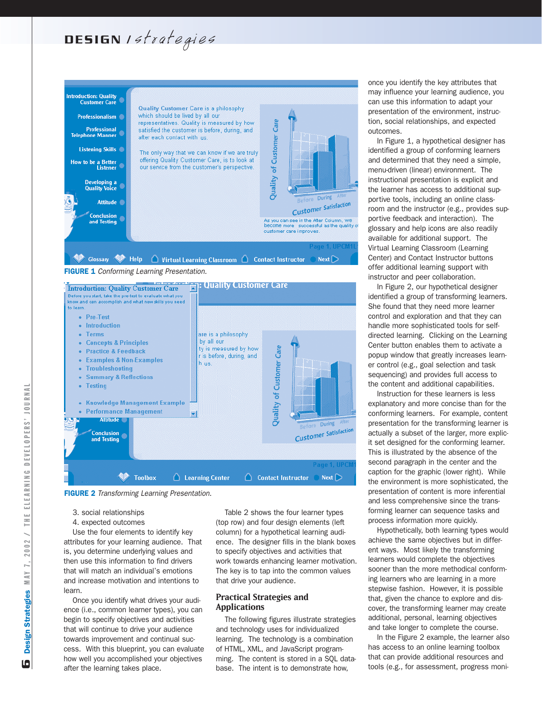## DESIGN Istrategies







- 3. social relationships
- 4. expected outcomes

Use the four elements to identify key attributes for your learning audience. That is, you determine underlying values and then use this information to find drivers that will match an individual's emotions and increase motivation and intentions to learn.

Once you identify what drives your audience (i.e., common learner types), you can begin to specify objectives and activities that will continue to drive your audience towards improvement and continual success. With this blueprint, you can evaluate how well you accomplished your objectives after the learning takes place.

Table 2 shows the four learner types (top row) and four design elements (left column) for a hypothetical learning audience. The designer fills in the blank boxes to specify objectives and activities that work towards enhancing learner motivation. The key is to tap into the common values that drive your audience.

### **Practical Strategies and Applications**

The following figures illustrate strategies and technology uses for individualized learning. The technology is a combination of HTML, XML, and JavaScript programming. The content is stored in a SQL database. The intent is to demonstrate how,

once you identify the key attributes that may influence your learning audience, you can use this information to adapt your presentation of the environment, instruction, social relationships, and expected outcomes.

In Figure 1, a hypothetical designer has identified a group of conforming learners and determined that they need a simple, menu-driven (linear) environment. The instructional presentation is explicit and the learner has access to additional supportive tools, including an online classroom and the instructor (e.g., provides supportive feedback and interaction). The glossary and help icons are also readily available for additional support. The Virtual Learning Classroom (Learning Center) and Contact Instructor buttons offer additional learning support with instructor and peer collaboration.

In Figure 2, our hypothetical designer identified a group of transforming learners. She found that they need more learner control and exploration and that they can handle more sophisticated tools for selfdirected learning. Clicking on the Learning Center button enables them to activate a popup window that greatly increases learner control (e.g., goal selection and task sequencing) and provides full access to the content and additional capabilities.

Instruction for these learners is less explanatory and more concise than for the conforming learners. For example, content presentation for the transforming learner is actually a subset of the larger, more explicit set designed for the conforming learner. This is illustrated by the absence of the second paragraph in the center and the caption for the graphic (lower right). While the environment is more sophisticated, the presentation of content is more inferential and less comprehensive since the transforming learner can sequence tasks and process information more quickly.

Hypothetically, both learning types would achieve the same objectives but in different ways. Most likely the transforming learners would complete the objectives sooner than the more methodical conforming learners who are learning in a more stepwise fashion. However, it is possible that, given the chance to explore and discover, the transforming learner may create additional, personal, learning objectives and take longer to complete the course.

In the Figure 2 example, the learner also has access to an online learning toolbox that can provide additional resources and tools (e.g., for assessment, progress moni-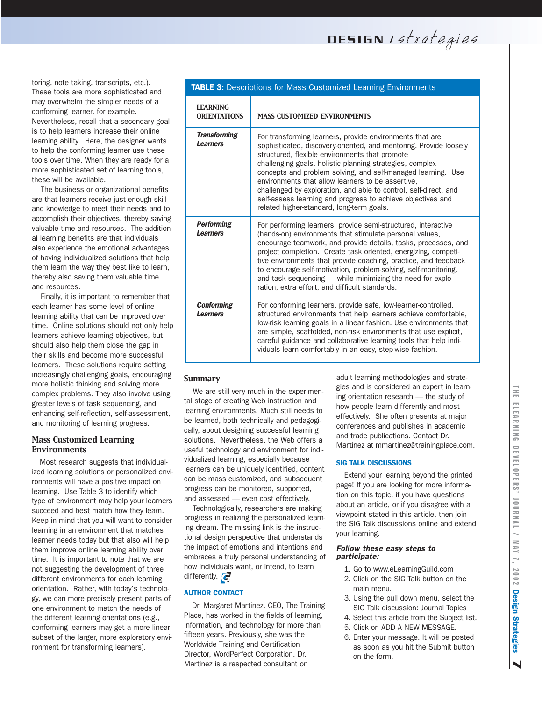DESIGN Istrategies

toring, note taking, transcripts, etc.). These tools are more sophisticated and may overwhelm the simpler needs of a conforming learner, for example. Nevertheless, recall that a secondary goal is to help learners increase their online learning ability. Here, the designer wants to help the conforming learner use these tools over time. When they are ready for a more sophisticated set of learning tools, these will be available.

The business or organizational benefits are that learners receive just enough skill and knowledge to meet their needs and to accomplish their objectives, thereby saving valuable time and resources. The additional learning benefits are that individuals also experience the emotional advantages of having individualized solutions that help them learn the way they best like to learn, thereby also saving them valuable time and resources.

Finally, it is important to remember that each learner has some level of online learning ability that can be improved over time. Online solutions should not only help learners achieve learning objectives, but should also help them close the gap in their skills and become more successful learners. These solutions require setting increasingly challenging goals, encouraging more holistic thinking and solving more complex problems. They also involve using greater levels of task sequencing, and enhancing self-reflection, self-assessment, and monitoring of learning progress.

### **Mass Customized Learning Environments**

Most research suggests that individualized learning solutions or personalized environments will have a positive impact on learning. Use Table 3 to identify which type of environment may help your learners succeed and best match how they learn. Keep in mind that you will want to consider learning in an environment that matches learner needs today but that also will help them improve online learning ability over time. It is important to note that we are not suggesting the development of three different environments for each learning orientation. Rather, with today's technology, we can more precisely present parts of one environment to match the needs of the different learning orientations (e.g., conforming learners may get a more linear subset of the larger, more exploratory environment for transforming learners).

| TABLE 3: Descriptions for Mass Customized Learning Environments |                                                                                                                                                                                                                                                                                                                                                                                                                                                                                                                                                  |  |
|-----------------------------------------------------------------|--------------------------------------------------------------------------------------------------------------------------------------------------------------------------------------------------------------------------------------------------------------------------------------------------------------------------------------------------------------------------------------------------------------------------------------------------------------------------------------------------------------------------------------------------|--|
| <b>LEARNING</b><br><b>ORIENTATIONS</b>                          | <b>MASS CUSTOMIZED ENVIRONMENTS</b>                                                                                                                                                                                                                                                                                                                                                                                                                                                                                                              |  |
| <b>Transforming</b><br><b>Learners</b>                          | For transforming learners, provide environments that are<br>sophisticated, discovery-oriented, and mentoring. Provide loosely<br>structured, flexible environments that promote<br>challenging goals, holistic planning strategies, complex<br>concepts and problem solving, and self-managed learning. Use<br>environments that allow learners to be assertive,<br>challenged by exploration, and able to control, self-direct, and<br>self-assess learning and progress to achieve objectives and<br>related higher-standard, long-term goals. |  |
| <b>Performing</b><br><b>Learners</b>                            | For performing learners, provide semi-structured, interactive<br>(hands-on) environments that stimulate personal values,<br>encourage teamwork, and provide details, tasks, processes, and<br>project completion. Create task oriented, energizing, competi-<br>tive environments that provide coaching, practice, and feedback<br>to encourage self-motivation, problem-solving, self-monitoring,<br>and task sequencing - while minimizing the need for explo-<br>ration, extra effort, and difficult standards.                               |  |
| <b>Conforming</b><br>Learners                                   | For conforming learners, provide safe, low-learner-controlled,<br>structured environments that help learners achieve comfortable,<br>low-risk learning goals in a linear fashion. Use environments that<br>are simple, scaffolded, non-risk environments that use explicit,<br>careful guidance and collaborative learning tools that help indi-<br>viduals learn comfortably in an easy, step-wise fashion.                                                                                                                                     |  |

### **Summary**

We are still very much in the experimental stage of creating Web instruction and learning environments. Much still needs to be learned, both technically and pedagogically, about designing successful learning solutions. Nevertheless, the Web offers a useful technology and environment for individualized learning, especially because learners can be uniquely identified, content can be mass customized, and subsequent progress can be monitored, supported, and assessed — even cost effectively.

Technologically, researchers are making progress in realizing the personalized learning dream. The missing link is the instructional design perspective that understands the impact of emotions and intentions and embraces a truly personal understanding of how individuals want, or intend, to learn differently.  $\epsilon$ 

### AUTHOR CONTACT

Dr. Margaret Martinez, CEO, The Training Place, has worked in the fields of learning, information, and technology for more than fifteen years. Previously, she was the Worldwide Training and Certification Director, WordPerfect Corporation. Dr. Martinez is a respected consultant on

adult learning methodologies and strategies and is considered an expert in learning orientation research — the study of how people learn differently and most effectively. She often presents at major conferences and publishes in academic and trade publications. Contact Dr. Martinez at mmartinez@trainingplace.com.

### SIG TALK DISCUSSIONS

Extend your learning beyond the printed page! If you are looking for more information on this topic, if you have questions about an article, or if you disagree with a viewpoint stated in this article, then join the SIG Talk discussions online and extend your learning.

### *Follow these easy steps to participate:*

- 1. Go to www.eLearningGuild.com
- 2. Click on the SIG Talk button on the main menu.
- 3. Using the pull down menu, select the SIG Talk discussion: Journal Topics
- 4. Select this article from the Subject list.
- 5. Click on ADD A NEW MESSAGE.
- 6. Enter your message. It will be posted as soon as you hit the Submit button on the form.